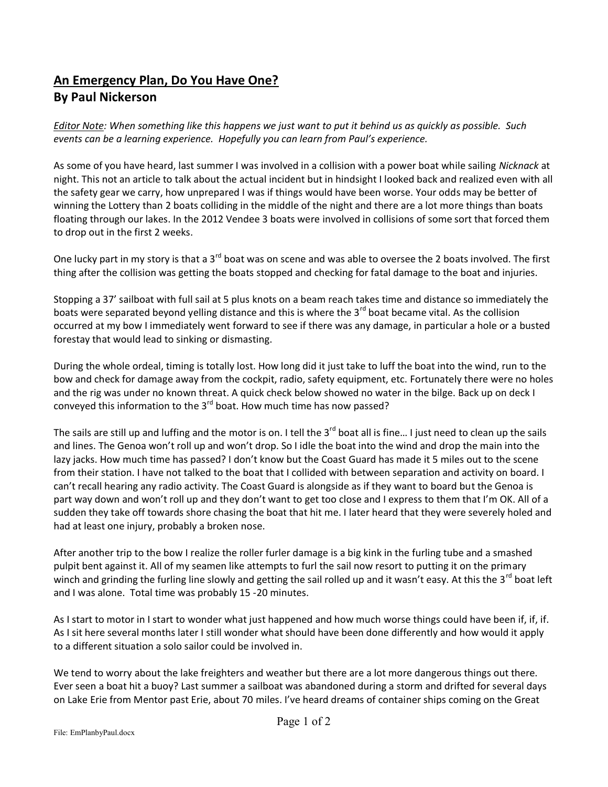## **An Emergency Plan, Do You Have One? By Paul Nickerson**

*Editor Note: When something like this happens we just want to put it behind us as quickly as possible. Such events can be a learning experience. Hopefully you can learn from Paul's experience.*

As some of you have heard, last summer I was involved in a collision with a power boat while sailing *Nicknack* at night. This not an article to talk about the actual incident but in hindsight I looked back and realized even with all the safety gear we carry, how unprepared I was if things would have been worse. Your odds may be better of winning the Lottery than 2 boats colliding in the middle of the night and there are a lot more things than boats floating through our lakes. In the 2012 Vendee 3 boats were involved in collisions of some sort that forced them to drop out in the first 2 weeks.

One lucky part in my story is that a 3<sup>rd</sup> boat was on scene and was able to oversee the 2 boats involved. The first thing after the collision was getting the boats stopped and checking for fatal damage to the boat and injuries.

Stopping a 37' sailboat with full sail at 5 plus knots on a beam reach takes time and distance so immediately the boats were separated beyond yelling distance and this is where the 3<sup>rd</sup> boat became vital. As the collision occurred at my bow I immediately went forward to see if there was any damage, in particular a hole or a busted forestay that would lead to sinking or dismasting.

During the whole ordeal, timing is totally lost. How long did it just take to luff the boat into the wind, run to the bow and check for damage away from the cockpit, radio, safety equipment, etc. Fortunately there were no holes and the rig was under no known threat. A quick check below showed no water in the bilge. Back up on deck I conveyed this information to the  $3^{rd}$  boat. How much time has now passed?

The sails are still up and luffing and the motor is on. I tell the  $3^{rd}$  boat all is fine... I just need to clean up the sails and lines. The Genoa won't roll up and won't drop. So I idle the boat into the wind and drop the main into the lazy jacks. How much time has passed? I don't know but the Coast Guard has made it 5 miles out to the scene from their station. I have not talked to the boat that I collided with between separation and activity on board. I can't recall hearing any radio activity. The Coast Guard is alongside as if they want to board but the Genoa is part way down and won't roll up and they don't want to get too close and I express to them that I'm OK. All of a sudden they take off towards shore chasing the boat that hit me. I later heard that they were severely holed and had at least one injury, probably a broken nose.

After another trip to the bow I realize the roller furler damage is a big kink in the furling tube and a smashed pulpit bent against it. All of my seamen like attempts to furl the sail now resort to putting it on the primary winch and grinding the furling line slowly and getting the sail rolled up and it wasn't easy. At this the 3<sup>rd</sup> boat left and I was alone. Total time was probably 15 -20 minutes.

As I start to motor in I start to wonder what just happened and how much worse things could have been if, if, if. As I sit here several months later I still wonder what should have been done differently and how would it apply to a different situation a solo sailor could be involved in.

We tend to worry about the lake freighters and weather but there are a lot more dangerous things out there. Ever seen a boat hit a buoy? Last summer a sailboat was abandoned during a storm and drifted for several days on Lake Erie from Mentor past Erie, about 70 miles. I've heard dreams of container ships coming on the Great